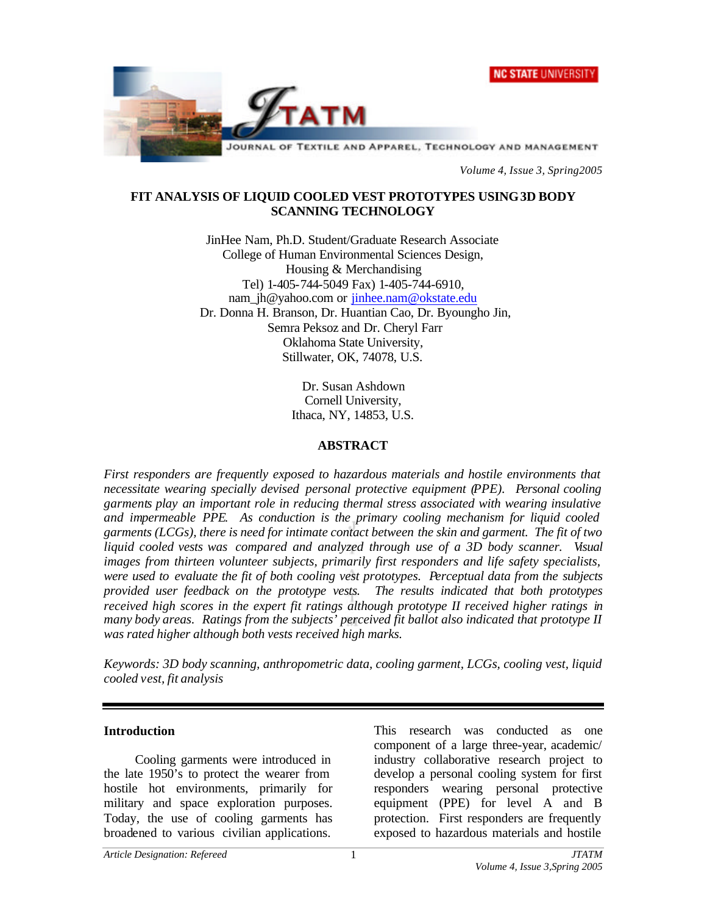



*Volume 4, Issue 3, Spring2005*

#### **FIT ANALYSIS OF LIQUID COOLED VEST PROTOTYPES USING 3D BODY SCANNING TECHNOLOGY**

JinHee Nam, Ph.D. Student/Graduate Research Associate College of Human Environmental Sciences Design, Housing & Merchandising Tel) 1-405-744-5049 Fax) 1-405-744-6910, nam\_jh@yahoo.com or jinhee.nam@okstate.edu Dr. Donna H. Branson, Dr. Huantian Cao, Dr. Byoungho Jin, Semra Peksoz and Dr. Cheryl Farr Oklahoma State University, Stillwater, OK, 74078, U.S.

> Dr. Susan Ashdown Cornell University, Ithaca, NY, 14853, U.S.

#### **ABSTRACT**

*First responders are frequently exposed to hazardous materials and hostile environments that necessitate wearing specially devised personal protective equipment (PPE). Personal cooling garments play an important role in reducing thermal stress associated with wearing insulative and impermeable PPE. As conduction is the primary cooling mechanism for liquid cooled garments (LCGs), there is need for intimate contact between the skin and garment. The fit of two liquid cooled vests was compared and analyzed through use of a 3D body scanner. Visual images from thirteen volunteer subjects, primarily first responders and life safety specialists, were used to evaluate the fit of both cooling vest prototypes. Perceptual data from the subjects provided user feedback on the prototype vests. The results indicated that both prototypes received high scores in the expert fit ratings although prototype II received higher ratings in many body areas. Ratings from the subjects' perceived fit ballot also indicated that prototype II was rated higher although both vests received high marks.*

*Keywords: 3D body scanning, anthropometric data, cooling garment, LCGs, cooling vest, liquid cooled vest, fit analysis*

#### **Introduction**

Cooling garments were introduced in the late 1950's to protect the wearer from hostile hot environments, primarily for military and space exploration purposes. Today, the use of cooling garments has broadened to various civilian applications.

This research was conducted as one component of a large three-year, academic/ industry collaborative research project to develop a personal cooling system for first responders wearing personal protective equipment (PPE) for level A and B protection. First responders are frequently exposed to hazardous materials and hostile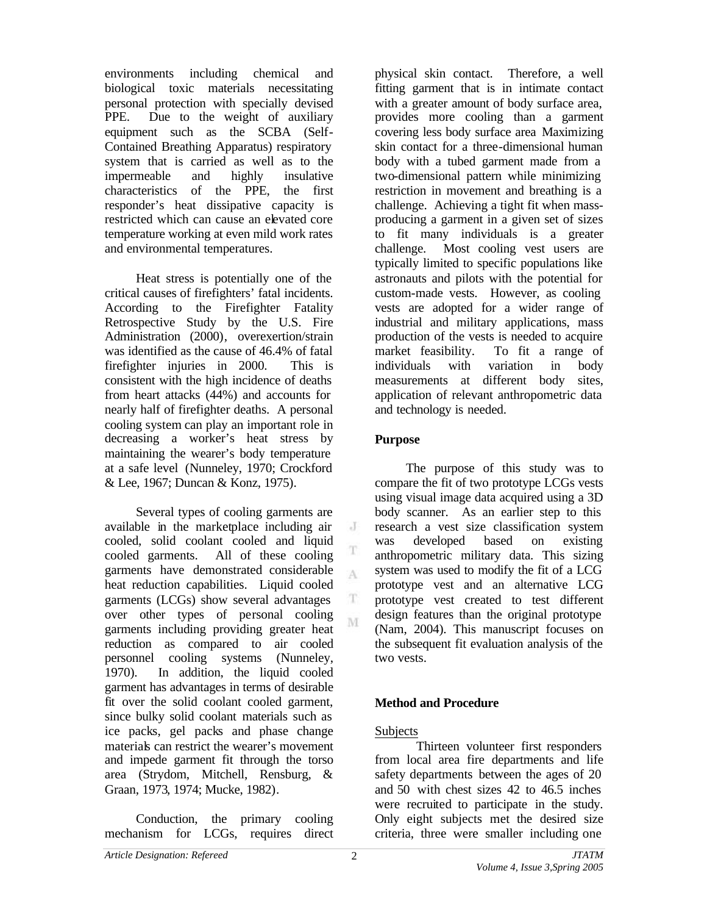environments including chemical and biological toxic materials necessitating personal protection with specially devised PPE. Due to the weight of auxiliary equipment such as the SCBA (Self-Contained Breathing Apparatus) respiratory system that is carried as well as to the impermeable and highly insulative characteristics of the PPE, the first responder's heat dissipative capacity is restricted which can cause an elevated core temperature working at even mild work rates and environmental temperatures.

Heat stress is potentially one of the critical causes of firefighters' fatal incidents. According to the Firefighter Fatality Retrospective Study by the U.S. Fire Administration (2000), overexertion/strain was identified as the cause of 46.4% of fatal firefighter injuries in 2000. This is consistent with the high incidence of deaths from heart attacks (44%) and accounts for nearly half of firefighter deaths. A personal cooling system can play an important role in decreasing a worker's heat stress by maintaining the wearer's body temperature at a safe level (Nunneley, 1970; Crockford & Lee, 1967; Duncan & Konz, 1975).

Several types of cooling garments are available in the marketplace including air cooled, solid coolant cooled and liquid cooled garments. All of these cooling garments have demonstrated considerable heat reduction capabilities. Liquid cooled garments (LCGs) show several advantages over other types of personal cooling garments including providing greater heat reduction as compared to air cooled personnel cooling systems (Nunneley, 1970). In addition, the liquid cooled garment has advantages in terms of desirable fit over the solid coolant cooled garment, since bulky solid coolant materials such as ice packs, gel packs and phase change materials can restrict the wearer's movement and impede garment fit through the torso area (Strydom, Mitchell, Rensburg, & Graan, 1973, 1974; Mucke, 1982).

Conduction, the primary cooling mechanism for LCGs, requires direct physical skin contact. Therefore, a well fitting garment that is in intimate contact with a greater amount of body surface area. provides more cooling than a garment covering less body surface area Maximizing skin contact for a three-dimensional human body with a tubed garment made from a two-dimensional pattern while minimizing restriction in movement and breathing is a challenge. Achieving a tight fit when massproducing a garment in a given set of sizes to fit many individuals is a greater challenge. Most cooling vest users are typically limited to specific populations like astronauts and pilots with the potential for custom-made vests. However, as cooling vests are adopted for a wider range of industrial and military applications, mass production of the vests is needed to acquire market feasibility. To fit a range of individuals with variation in body measurements at different body sites, application of relevant anthropometric data and technology is needed.

## **Purpose**

 $\rm J$ 

T A

T. M

The purpose of this study was to compare the fit of two prototype LCGs vests using visual image data acquired using a 3D body scanner. As an earlier step to this research a vest size classification system was developed based on existing anthropometric military data. This sizing system was used to modify the fit of a LCG prototype vest and an alternative LCG prototype vest created to test different design features than the original prototype (Nam, 2004). This manuscript focuses on the subsequent fit evaluation analysis of the two vests.

# **Method and Procedure**

## Subjects

Thirteen volunteer first responders from local area fire departments and life safety departments between the ages of 20 and 50 with chest sizes 42 to 46.5 inches were recruited to participate in the study. Only eight subjects met the desired size criteria, three were smaller including one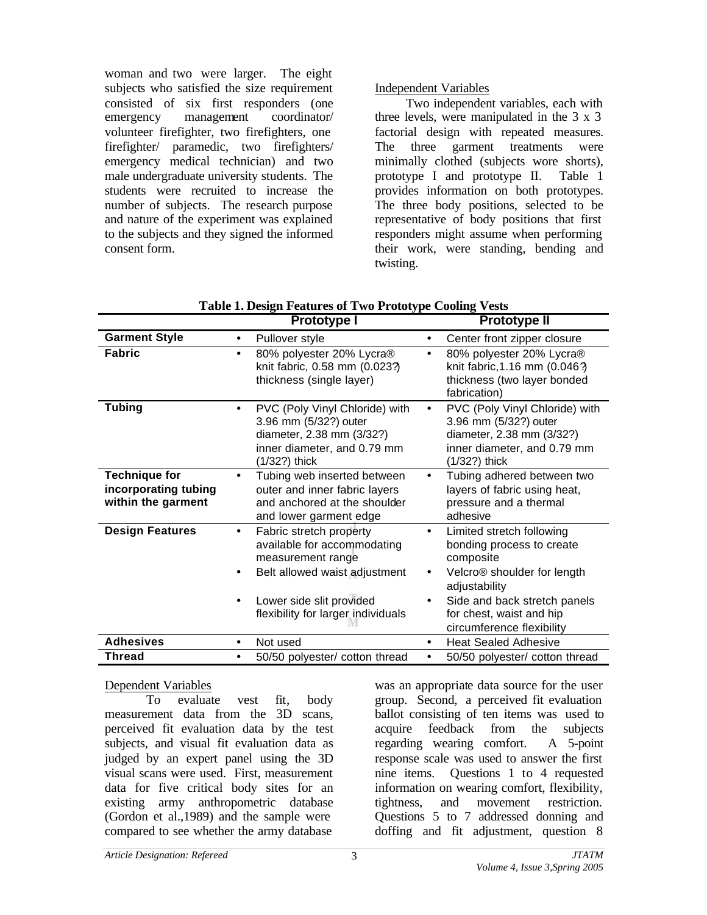woman and two were larger. The eight subjects who satisfied the size requirement consisted of six first responders (one emergency management coordinator/ volunteer firefighter, two firefighters, one firefighter/ paramedic, two firefighters/ emergency medical technician) and two male undergraduate university students. The students were recruited to increase the number of subjects. The research purpose and nature of the experiment was explained to the subjects and they signed the informed consent form.

## Independent Variables

Two independent variables, each with three levels, were manipulated in the 3 x 3 factorial design with repeated measures. The three garment treatments were minimally clothed (subjects wore shorts), prototype I and prototype II. Table 1 provides information on both prototypes. The three body positions, selected to be representative of body positions that first responders might assume when performing their work, were standing, bending and twisting.

|                                                                    | Prototype I                                                                                                                                                                                              | <b>Prototype II</b>                                                                                                                                                                                                                                             |
|--------------------------------------------------------------------|----------------------------------------------------------------------------------------------------------------------------------------------------------------------------------------------------------|-----------------------------------------------------------------------------------------------------------------------------------------------------------------------------------------------------------------------------------------------------------------|
| <b>Garment Style</b>                                               | Pullover style<br>$\bullet$                                                                                                                                                                              | Center front zipper closure<br>٠                                                                                                                                                                                                                                |
| <b>Fabric</b>                                                      | 80% polyester 20% Lycra®<br>$\bullet$<br>knit fabric, 0.58 mm (0.023?)<br>thickness (single layer)                                                                                                       | 80% polyester 20% Lycra®<br>$\bullet$<br>knit fabric, 1.16 mm (0.046?)<br>thickness (two layer bonded<br>fabrication)                                                                                                                                           |
| <b>Tubing</b>                                                      | PVC (Poly Vinyl Chloride) with<br>$\bullet$<br>3.96 mm (5/32?) outer<br>diameter, 2.38 mm (3/32?)<br>inner diameter, and 0.79 mm<br>(1/32?) thick                                                        | PVC (Poly Vinyl Chloride) with<br>$\bullet$<br>3.96 mm (5/32?) outer<br>diameter, 2.38 mm (3/32?)<br>inner diameter, and 0.79 mm<br>(1/32?) thick                                                                                                               |
| <b>Technique for</b><br>incorporating tubing<br>within the garment | Tubing web inserted between<br>outer and inner fabric layers<br>and anchored at the shoulder<br>and lower garment edge                                                                                   | Tubing adhered between two<br>$\bullet$<br>layers of fabric using heat,<br>pressure and a thermal<br>adhesive                                                                                                                                                   |
| <b>Design Features</b>                                             | Fabric stretch property<br>$\bullet$<br>available for accommodating<br>measurement range<br>Belt allowed waist adjustment<br>Lower side slit provided<br>$\bullet$<br>flexibility for larger individuals | Limited stretch following<br>$\bullet$<br>bonding process to create<br>composite<br>Velcro <sup>®</sup> shoulder for length<br>$\bullet$<br>adjustability<br>Side and back stretch panels<br>$\bullet$<br>for chest, waist and hip<br>circumference flexibility |
| <b>Adhesives</b>                                                   | Not used<br>$\bullet$                                                                                                                                                                                    | <b>Heat Sealed Adhesive</b><br>$\bullet$                                                                                                                                                                                                                        |
| Thread                                                             | 50/50 polyester/ cotton thread<br>$\bullet$                                                                                                                                                              | 50/50 polyester/ cotton thread<br>$\bullet$                                                                                                                                                                                                                     |

| Table 1. Design Features of Two Prototype Cooling Vests |  |
|---------------------------------------------------------|--|
|---------------------------------------------------------|--|

#### Dependent Variables

To evaluate vest fit, body measurement data from the 3D scans, perceived fit evaluation data by the test subjects, and visual fit evaluation data as judged by an expert panel using the 3D visual scans were used. First, measurement data for five critical body sites for an existing army anthropometric database (Gordon et al.,1989) and the sample were compared to see whether the army database

was an appropriate data source for the user group. Second, a perceived fit evaluation ballot consisting of ten items was used to acquire feedback from the subjects regarding wearing comfort. A 5-point response scale was used to answer the first nine items. Questions 1 to 4 requested information on wearing comfort, flexibility, tightness, and movement restriction. Questions 5 to 7 addressed donning and doffing and fit adjustment, question 8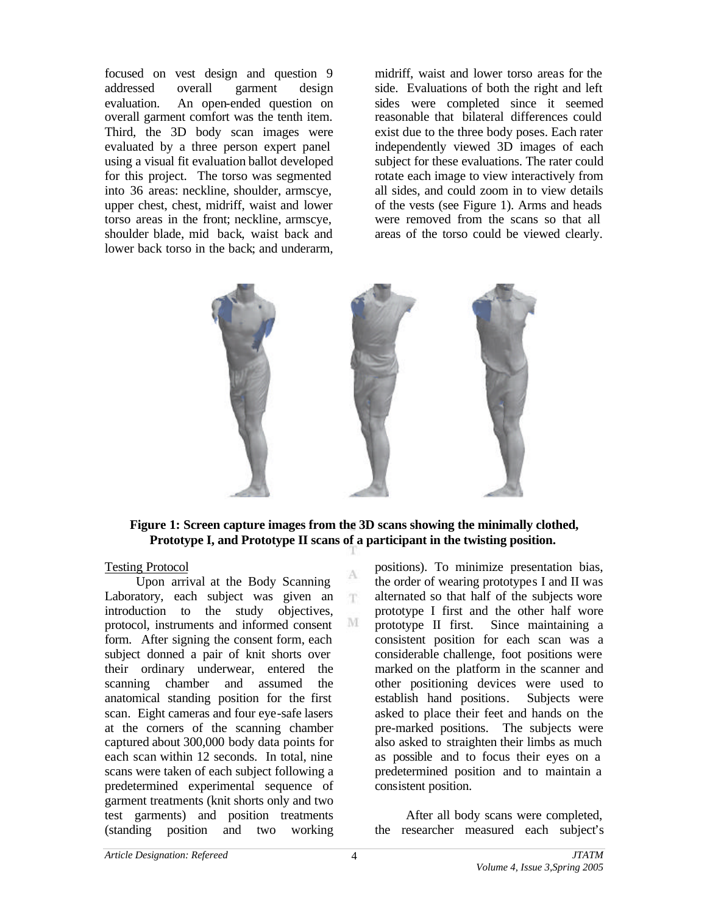focused on vest design and question 9 addressed overall garment design evaluation. An open-ended question on overall garment comfort was the tenth item. Third, the 3D body scan images were evaluated by a three person expert panel using a visual fit evaluation ballot developed for this project. The torso was segmented into 36 areas: neckline, shoulder, armscye, upper chest, chest, midriff, waist and lower torso areas in the front; neckline, armscye, shoulder blade, mid back, waist back and lower back torso in the back; and underarm,

midriff, waist and lower torso areas for the side. Evaluations of both the right and left sides were completed since it seemed reasonable that bilateral differences could exist due to the three body poses. Each rater independently viewed 3D images of each subject for these evaluations. The rater could rotate each image to view interactively from all sides, and could zoom in to view details of the vests (see Figure 1). Arms and heads were removed from the scans so that all areas of the torso could be viewed clearly.



#### **Figure 1: Screen capture images from the 3D scans showing the minimally clothed, Prototype I, and Prototype II scans of a participant in the twisting position.**

A m.

M

#### Testing Protocol

Upon arrival at the Body Scanning Laboratory, each subject was given an introduction to the study objectives, protocol, instruments and informed consent form. After signing the consent form, each subject donned a pair of knit shorts over their ordinary underwear, entered the scanning chamber and assumed the anatomical standing position for the first scan. Eight cameras and four eye-safe lasers at the corners of the scanning chamber captured about 300,000 body data points for each scan within 12 seconds. In total, nine scans were taken of each subject following a predetermined experimental sequence of garment treatments (knit shorts only and two test garments) and position treatments (standing position and two working positions). To minimize presentation bias, the order of wearing prototypes I and II was alternated so that half of the subjects wore prototype I first and the other half wore prototype II first. Since maintaining a consistent position for each scan was a considerable challenge, foot positions were marked on the platform in the scanner and other positioning devices were used to establish hand positions. Subjects were asked to place their feet and hands on the pre-marked positions. The subjects were also asked to straighten their limbs as much as possible and to focus their eyes on a predetermined position and to maintain a consistent position.

After all body scans were completed, the researcher measured each subject's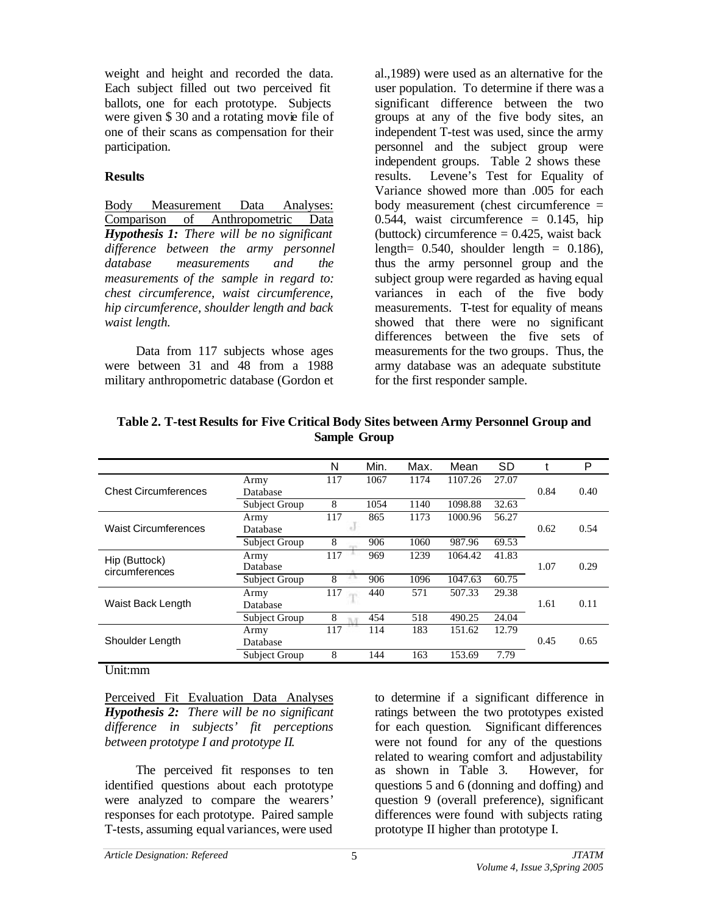weight and height and recorded the data. Each subject filled out two perceived fit ballots, one for each prototype. Subjects were given \$30 and a rotating movie file of one of their scans as compensation for their participation.

## **Results**

Body Measurement Data Analyses: Comparison of Anthropometric Data *Hypothesis 1: There will be no significant difference between the army personnel database measurements and the measurements of the sample in regard to: chest circumference, waist circumference, hip circumference, shoulder length and back waist length.*

Data from 117 subjects whose ages were between 31 and 48 from a 1988 military anthropometric database (Gordon et al.,1989) were used as an alternative for the user population. To determine if there was a significant difference between the two groups at any of the five body sites, an independent T-test was used, since the army personnel and the subject group were independent groups. Table 2 shows these results. Levene's Test for Equality of Variance showed more than .005 for each body measurement (chest circumference  $=$ 0.544, waist circumference  $= 0.145$ , hip (buttock) circumference  $= 0.425$ , waist back length=  $0.540$ , shoulder length =  $0.186$ ), thus the army personnel group and the subject group were regarded as having equal variances in each of the five body measurements. T-test for equality of means showed that there were no significant differences between the five sets of measurements for the two groups. Thus, the army database was an adequate substitute for the first responder sample.

|                             |               | N   | Min. | Max. | Mean    | SD    |      | P    |
|-----------------------------|---------------|-----|------|------|---------|-------|------|------|
|                             | Army          | 117 | 1067 | 1174 | 1107.26 | 27.07 |      |      |
| <b>Chest Circumferences</b> | Database      |     |      |      |         |       | 0.84 | 0.40 |
|                             | Subject Group | 8   | 1054 | 1140 | 1098.88 | 32.63 |      |      |
|                             | Army          | 117 | 865  | 1173 | 1000.96 | 56.27 |      |      |
| <b>Waist Circumferences</b> | Database      |     |      |      |         |       | 0.62 | 0.54 |
|                             | Subject Group | 8   | 906  | 1060 | 987.96  | 69.53 |      |      |
| Hip (Buttock)               | Army          | 117 | 969  | 1239 | 1064.42 | 41.83 |      |      |
| circumferences              | Database      |     |      |      |         |       | 1.07 | 0.29 |
|                             | Subject Group | 8   | 906  | 1096 | 1047.63 | 60.75 |      |      |
|                             | Army          | 117 | 440  | 571  | 507.33  | 29.38 |      |      |
| Waist Back Length           | Database      |     |      |      |         |       | 1.61 | 0.11 |
|                             | Subject Group | 8   | 454  | 518  | 490.25  | 24.04 |      |      |
|                             | Army          | 117 | 114  | 183  | 151.62  | 12.79 |      |      |
| Shoulder Length             | Database      |     |      |      |         |       | 0.45 | 0.65 |
|                             | Subject Group | 8   | 144  | 163  | 153.69  | 7.79  |      |      |

| Table 2. T-test Results for Five Critical Body Sites between Army Personnel Group and |
|---------------------------------------------------------------------------------------|
| <b>Sample Group</b>                                                                   |

## Unit:mm

Perceived Fit Evaluation Data Analyses *Hypothesis 2: There will be no significant difference in subjects' fit perceptions between prototype I and prototype II.*

The perceived fit responses to ten identified questions about each prototype were analyzed to compare the wearers' responses for each prototype. Paired sample T-tests, assuming equal variances, were used

to determine if a significant difference in ratings between the two prototypes existed for each question. Significant differences were not found for any of the questions related to wearing comfort and adjustability as shown in Table 3. However, for questions 5 and 6 (donning and doffing) and question 9 (overall preference), significant differences were found with subjects rating prototype II higher than prototype I.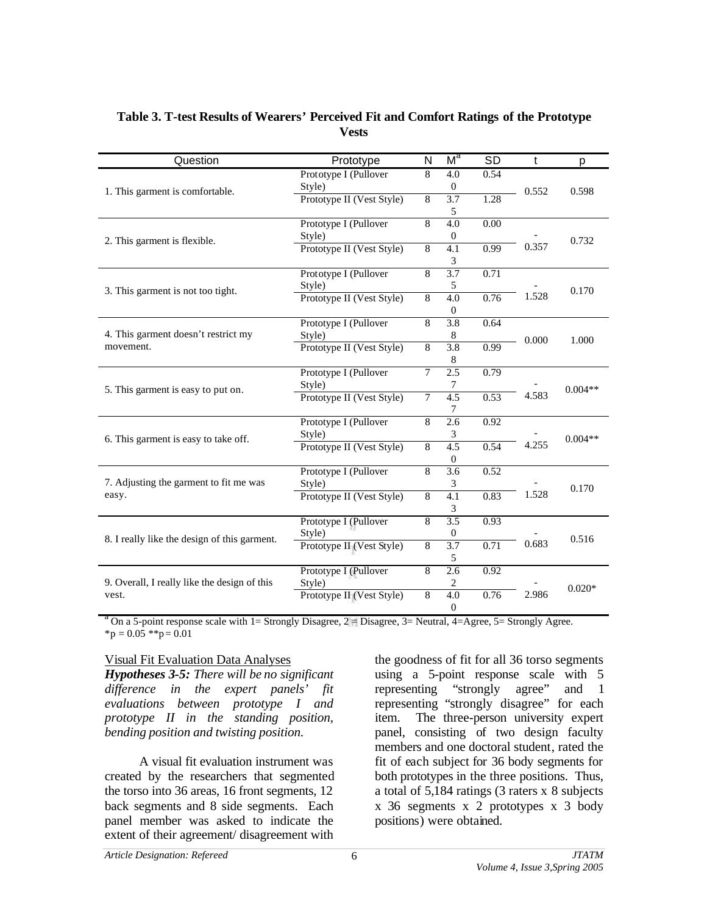| Question                                     | Prototype                           | N              | $M^a$                       | <b>SD</b> | $\mathbf t$ | p         |
|----------------------------------------------|-------------------------------------|----------------|-----------------------------|-----------|-------------|-----------|
|                                              | Prototype I (Pullover               | 8              | 4.0                         | 0.54      |             |           |
| 1. This garment is comfortable.              | Style)                              |                | $\boldsymbol{0}$            |           | 0.552       | 0.598     |
|                                              | Prototype II (Vest Style)           | $\overline{8}$ | $\overline{3.7}$            | 1.28      |             |           |
|                                              |                                     | $\overline{8}$ | 5                           |           |             |           |
|                                              | Prototype I (Pullover               |                | 4.0                         | 0.00      |             |           |
| 2. This garment is flexible.                 | Style)                              |                | $\boldsymbol{0}$            |           |             | 0.732     |
|                                              | Prototype II (Vest Style)           | 8              | 4.1                         | 0.99      | 0.357       |           |
|                                              |                                     |                | $\ensuremath{\mathfrak{Z}}$ |           |             |           |
|                                              | Prototype I (Pullover               | $\overline{8}$ | 3.7                         | 0.71      |             |           |
| 3. This garment is not too tight.            | Style)                              |                | 5                           |           |             | 0.170     |
|                                              | Prototype II (Vest Style)           | 8              | 4.0                         | 0.76      | 1.528       |           |
|                                              |                                     |                | $\mathbf{0}$                |           |             |           |
| 4. This garment doesn't restrict my          | Prototype I (Pullover               | $\overline{8}$ | 3.8                         | 0.64      |             | 1.000     |
|                                              | Style)                              |                | 8                           |           | 0.000       |           |
| movement.                                    | Prototype II (Vest Style)           | 8              | 3.8                         | 0.99      |             |           |
|                                              |                                     |                | 8                           |           |             |           |
| 5. This garment is easy to put on.           | Prototype I (Pullover               | 7              | 2.5                         | 0.79      |             |           |
|                                              | Style)                              |                | 7                           |           | 4.583       | $0.004**$ |
|                                              | Prototype II (Vest Style)           | 7              | 4.5<br>7                    | 0.53      |             |           |
|                                              | Prototype I (Pullover               | $\overline{8}$ | 2.6                         | 0.92      |             |           |
|                                              |                                     |                |                             |           |             |           |
| 6. This garment is easy to take off.         | Style)<br>Prototype II (Vest Style) | $\overline{8}$ | 3<br>4.5                    | 0.54      | 4.255       | $0.004**$ |
|                                              |                                     |                |                             |           |             |           |
|                                              | Prototype I (Pullover               | 8              | $\boldsymbol{0}$<br>3.6     | 0.52      |             |           |
| 7. Adjusting the garment to fit me was       | Style)                              |                | 3                           |           |             |           |
| easy.                                        | Prototype II (Vest Style)           | 8              | 4.1                         | 0.83      | 1.528       | 0.170     |
|                                              |                                     |                | $\ensuremath{\mathfrak{Z}}$ |           |             |           |
|                                              | Prototype I (Pullover               | 8              | 3.5                         | 0.93      |             |           |
|                                              | Style)                              |                | $\boldsymbol{0}$            |           |             |           |
| 8. I really like the design of this garment. | Prototype II (Vest Style)           | 8              | 3.7                         | 0.71      | 0.683       | 0.516     |
|                                              |                                     |                | $\sqrt{5}$                  |           |             |           |
|                                              | Prototype I (Pullover               | 8              | 2.6                         | 0.92      |             |           |
| 9. Overall, I really like the design of this | Style)                              |                | 2                           |           |             |           |
| vest.                                        | Prototype II (Vest Style)           | $\overline{8}$ | 4.0                         | 0.76      | 2.986       | $0.020*$  |
|                                              |                                     |                | $\boldsymbol{0}$            |           |             |           |

## **Table 3. T-test Results of Wearers' Perceived Fit and Comfort Ratings of the Prototype Vests**

<sup>a</sup> On a 5-point response scale with 1= Strongly Disagree, 2 = Disagree, 3= Neutral, 4=Agree, 5= Strongly Agree.  ${}^*p = 0.05$   ${}^*p = 0.01$ 

#### Visual Fit Evaluation Data Analyses

*Hypotheses 3-5: There will be no significant difference in the expert panels' fit evaluations between prototype I and prototype II in the standing position, bending position and twisting position.*

A visual fit evaluation instrument was created by the researchers that segmented the torso into 36 areas, 16 front segments, 12 back segments and 8 side segments. Each panel member was asked to indicate the extent of their agreement/ disagreement with

the goodness of fit for all 36 torso segments using a 5-point response scale with 5 representing "strongly agree" and 1 representing "strongly disagree" for each item. The three-person university expert panel, consisting of two design faculty members and one doctoral student, rated the fit of each subject for 36 body segments for both prototypes in the three positions. Thus, a total of 5,184 ratings (3 raters x 8 subjects x 36 segments x 2 prototypes x 3 body positions) were obtained.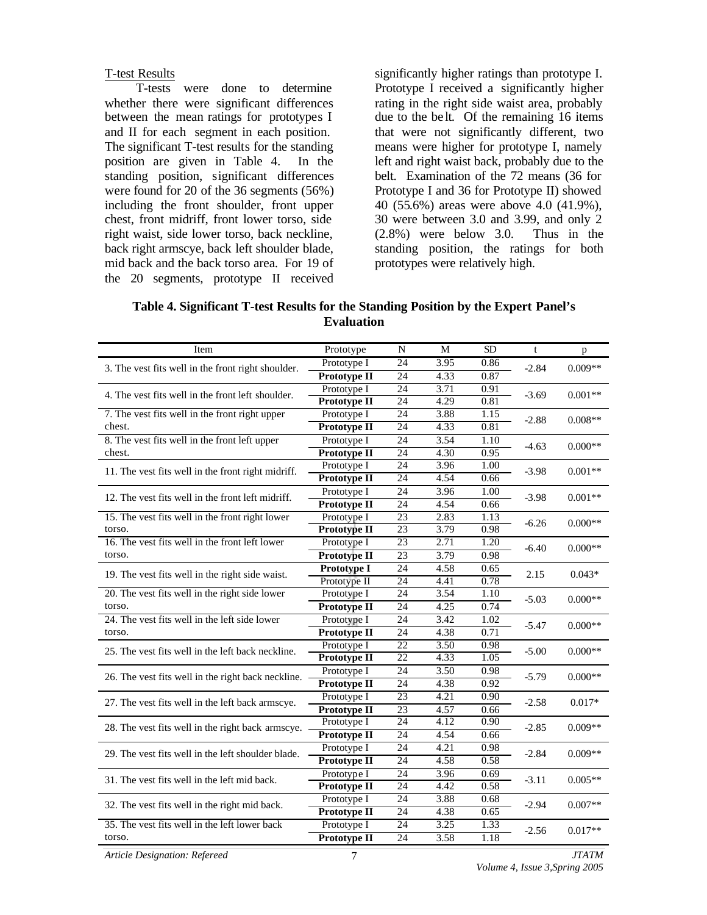#### T-test Results

T-tests were done to determine whether there were significant differences between the mean ratings for prototypes I and II for each segment in each position. The significant T-test results for the standing position are given in Table 4. In the standing position, significant differences were found for 20 of the 36 segments (56%) including the front shoulder, front upper chest, front midriff, front lower torso, side right waist, side lower torso, back neckline, back right armscye, back left shoulder blade, mid back and the back torso area. For 19 of the 20 segments, prototype II received

significantly higher ratings than prototype I. Prototype I received a significantly higher rating in the right side waist area, probably due to the be lt. Of the remaining 16 items that were not significantly different, two means were higher for prototype I, namely left and right waist back, probably due to the belt. Examination of the 72 means (36 for Prototype I and 36 for Prototype II) showed 40 (55.6%) areas were above 4.0 (41.9%), 30 were between 3.0 and 3.99, and only 2 (2.8%) were below 3.0. Thus in the standing position, the ratings for both prototypes were relatively high.

**Table 4. Significant T-test Results for the Standing Position by the Expert Panel's Evaluation**

| Item                                               | Prototype           | N               | M    | <b>SD</b> | $\mathbf t$ | p         |  |
|----------------------------------------------------|---------------------|-----------------|------|-----------|-------------|-----------|--|
| 3. The vest fits well in the front right shoulder. | Prototype I         | 24              | 3.95 | 0.86      | $-2.84$     | $0.009**$ |  |
|                                                    | Prototype II        | 24              | 4.33 | 0.87      |             |           |  |
| 4. The vest fits well in the front left shoulder.  | Prototype I         | 24              | 3.71 | 0.91      | $-3.69$     | $0.001**$ |  |
|                                                    | Prototype II        | 24              | 4.29 | 0.81      |             |           |  |
| 7. The vest fits well in the front right upper     | Prototype I         | 24              | 3.88 | 1.15      | $-2.88$     | $0.008**$ |  |
| chest.                                             | Prototype II        | 24              | 4.33 | 0.81      |             |           |  |
| 8. The vest fits well in the front left upper      | Prototype I         | 24              | 3.54 | 1.10      | $-4.63$     | $0.000**$ |  |
| chest.                                             | Prototype II        | 24              | 4.30 | 0.95      |             |           |  |
| 11. The vest fits well in the front right midriff. | Prototype I         | 24              | 3.96 | 1.00      | $-3.98$     | $0.001**$ |  |
|                                                    | Prototype II        | 24              | 4.54 | 0.66      |             |           |  |
| 12. The vest fits well in the front left midriff.  | Prototype I         | 24              | 3.96 | 1.00      | $-3.98$     | $0.001**$ |  |
|                                                    | Prototype II        | 24              | 4.54 | 0.66      |             |           |  |
| 15. The vest fits well in the front right lower    | Prototype I         | 23              | 2.83 | 1.13      | $-6.26$     | $0.000**$ |  |
| torso.                                             | Prototype II        | 23              | 3.79 | 0.98      |             |           |  |
| 16. The vest fits well in the front left lower     | Prototype I         | 23              | 2.71 | 1.20      | $-6.40$     | $0.000**$ |  |
| torso.                                             | <b>Prototype II</b> | $\overline{23}$ | 3.79 | 0.98      |             |           |  |
| 19. The vest fits well in the right side waist.    | Prototype I         | 24              | 4.58 | 0.65      | 2.15        | $0.043*$  |  |
|                                                    | Prototype II        | 24              | 4.41 | 0.78      |             |           |  |
| 20. The vest fits well in the right side lower     | Prototype I         | 24              | 3.54 | 1.10      | $-5.03$     | $0.000**$ |  |
| torso.                                             | Prototype II        | 24              | 4.25 | 0.74      |             |           |  |
| 24. The vest fits well in the left side lower      | Prototype I         | 24              | 3.42 | 1.02      | $-5.47$     | $0.000**$ |  |
| torso.                                             | Prototype II        | 24              | 4.38 | 0.71      |             |           |  |
| 25. The vest fits well in the left back neckline.  | Prototype I         | 22              | 3.50 | 0.98      | $-5.00$     | $0.000**$ |  |
|                                                    | Prototype II        | $\overline{22}$ | 4.33 | 1.05      |             |           |  |
| 26. The vest fits well in the right back neckline. | Prototype I         | 24              | 3.50 | 0.98      | $-5.79$     | $0.000**$ |  |
|                                                    | Prototype II        | 24              | 4.38 | 0.92      |             |           |  |
| 27. The vest fits well in the left back armscye.   | Prototype I         | 23              | 4.21 | 0.90      | $-2.58$     | $0.017*$  |  |
|                                                    | Prototype II        | 23              | 4.57 | 0.66      |             |           |  |
| 28. The vest fits well in the right back armscye.  | Prototype I         | 24              | 4.12 | 0.90      | $-2.85$     | $0.009**$ |  |
|                                                    | <b>Prototype II</b> | 24              | 4.54 | 0.66      |             |           |  |
| 29. The vest fits well in the left shoulder blade. | Prototype I         | 24              | 4.21 | 0.98      | $-2.84$     | $0.009**$ |  |
|                                                    | Prototype II        | 24              | 4.58 | 0.58      |             |           |  |
| 31. The vest fits well in the left mid back.       | Prototype I         | 24              | 3.96 | 0.69      | $-3.11$     | $0.005**$ |  |
|                                                    | Prototype II        | 24              | 4.42 | 0.58      |             |           |  |
| 32. The vest fits well in the right mid back.      | Prototype I         | 24              | 3.88 | 0.68      | $-2.94$     | $0.007**$ |  |
|                                                    | Prototype II        | 24              | 4.38 | 0.65      |             |           |  |
| 35. The vest fits well in the left lower back      | Prototype I         | 24              | 3.25 | 1.33      | $-2.56$     | $0.017**$ |  |
| torso.                                             | Prototype II        | 24              | 3.58 | 1.18      |             |           |  |

*Article Designation: Refereed JTATM*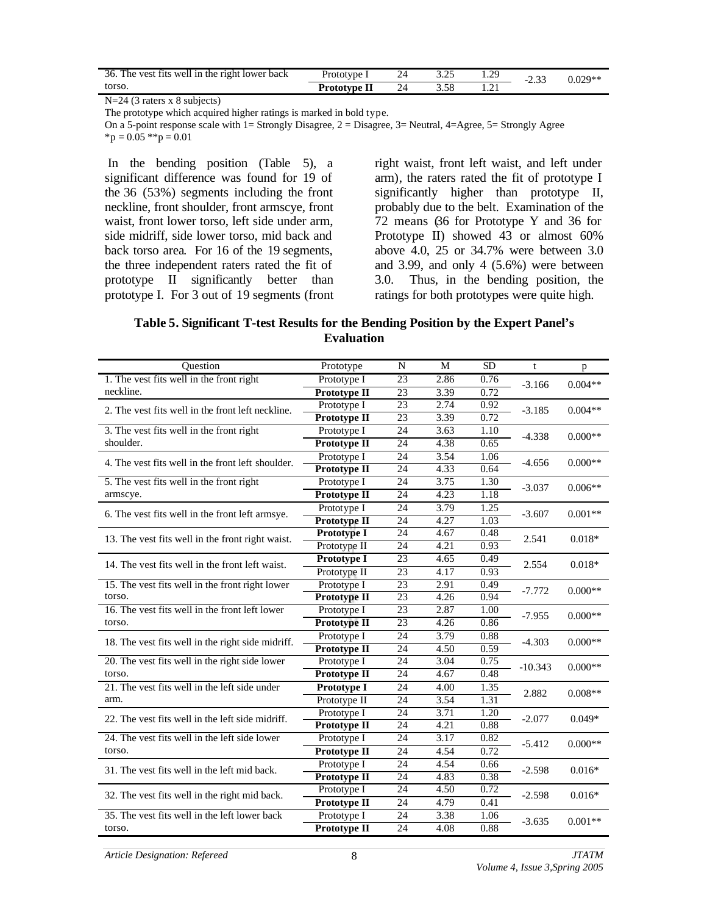| The vest fits well in the right lower back<br>36. | Prototype    | 24 | .29 | -4.53 | $0.029**$ |
|---------------------------------------------------|--------------|----|-----|-------|-----------|
| torso.                                            | Prototype II | 24 | .   |       |           |

N=24 (3 raters x 8 subjects)

On a 5-point response scale with  $1=$  Strongly Disagree,  $2=$  Disagree,  $3=$  Neutral,  $4=$  Agree,  $5=$  Strongly Agree  ${}^{\ast}p = 0.05$   ${}^{\ast}{}^{\ast}p = 0.01$ 

 In the bending position (Table 5), a significant difference was found for 19 of the 36 (53%) segments including the front neckline, front shoulder, front armscye, front waist, front lower torso, left side under arm, side midriff, side lower torso, mid back and back torso area. For 16 of the 19 segments, the three independent raters rated the fit of prototype II significantly better than prototype I. For 3 out of 19 segments (front right waist, front left waist, and left under arm), the raters rated the fit of prototype I significantly higher than prototype II, probably due to the belt. Examination of the 72 means (36 for Prototype Y and 36 for Prototype II) showed 43 or almost 60% above 4.0, 25 or 34.7% were between 3.0 and 3.99, and only 4 (5.6%) were between 3.0. Thus, in the bending position, the ratings for both prototypes were quite high.

### **Table 5. Significant T-test Results for the Bending Position by the Expert Panel's Evaluation**

| Ouestion                                          | Prototype           | N               | M    | <b>SD</b> | $\mathbf{t}$ | p         |
|---------------------------------------------------|---------------------|-----------------|------|-----------|--------------|-----------|
| 1. The vest fits well in the front right          | Prototype I         | $\overline{23}$ | 2.86 | 0.76      | $-3.166$     | $0.004**$ |
| neckline.                                         | Prototype II        | 23              | 3.39 | 0.72      |              |           |
| 2. The vest fits well in the front left neckline. | Prototype I         | 23              | 2.74 | 0.92      | $-3.185$     | $0.004**$ |
|                                                   | Prototype II        | 23              | 3.39 | 0.72      |              |           |
| 3. The vest fits well in the front right          | Prototype I         | 24              | 3.63 | 1.10      | $-4.338$     | $0.000**$ |
| shoulder.                                         | Prototype II        | 24              | 4.38 | 0.65      |              |           |
| 4. The vest fits well in the front left shoulder. | Prototype I         | 24              | 3.54 | 1.06      | $-4.656$     | $0.000**$ |
|                                                   | <b>Prototype II</b> | 24              | 4.33 | 0.64      |              |           |
| 5. The vest fits well in the front right          | Prototype I         | 24              | 3.75 | 1.30      | $-3.037$     | $0.006**$ |
| armscye.                                          | Prototype II        | 24              | 4.23 | 1.18      |              |           |
| 6. The vest fits well in the front left armsye.   | Prototype I         | 24              | 3.79 | 1.25      | $-3.607$     | $0.001**$ |
|                                                   | Prototype II        | 24              | 4.27 | 1.03      |              |           |
| 13. The vest fits well in the front right waist.  | Prototype I         | 24              | 4.67 | 0.48      | 2.541        | $0.018*$  |
|                                                   | Prototype II        | 24              | 4.21 | 0.93      |              |           |
| 14. The yest fits well in the front left waist.   | Prototype I         | 23              | 4.65 | 0.49      | 2.554        | $0.018*$  |
|                                                   | Prototype II        | 23              | 4.17 | 0.93      |              |           |
| 15. The vest fits well in the front right lower   | Prototype I         | 23              | 2.91 | 0.49      | $-7.772$     | $0.000**$ |
| torso.                                            | <b>Prototype II</b> | 23              | 4.26 | 0.94      |              |           |
| 16. The vest fits well in the front left lower    | Prototype I         | 23              | 2.87 | 1.00      | $-7.955$     | $0.000**$ |
| torso.                                            | <b>Prototype II</b> | 23              | 4.26 | 0.86      |              |           |
| 18. The vest fits well in the right side midriff. | Prototype I         | 24              | 3.79 | 0.88      | $-4.303$     | $0.000**$ |
|                                                   | Prototype II        | 24              | 4.50 | 0.59      |              |           |
| 20. The vest fits well in the right side lower    | Prototype I         | 24              | 3.04 | 0.75      | $-10.343$    | $0.000**$ |
| torso.                                            | Prototype II        | 24              | 4.67 | 0.48      |              |           |
| 21. The vest fits well in the left side under     | Prototype I         | 24              | 4.00 | 1.35      | 2.882        | $0.008**$ |
| arm.                                              | Prototype II        | 24              | 3.54 | 1.31      |              |           |
| 22. The vest fits well in the left side midriff.  | Prototype I         | 24              | 3.71 | 1.20      | $-2.077$     | $0.049*$  |
|                                                   | Prototype II        | 24              | 4.21 | 0.88      |              |           |
| 24. The vest fits well in the left side lower     | Prototype I         | 24              | 3.17 | 0.82      | $-5.412$     | $0.000**$ |
| torso.                                            | Prototype II        | 24              | 4.54 | 0.72      |              |           |
| 31. The vest fits well in the left mid back.      | Prototype I         | 24              | 4.54 | 0.66      | $-2.598$     | $0.016*$  |
|                                                   | <b>Prototype II</b> | 24              | 4.83 | 0.38      |              |           |
| 32. The vest fits well in the right mid back.     | Prototype I         | 24              | 4.50 | 0.72      | $-2.598$     | $0.016*$  |
|                                                   | Prototype II        | 24              | 4.79 | 0.41      |              |           |
| 35. The vest fits well in the left lower back     | Prototype I         | 24              | 3.38 | 1.06      | $-3.635$     | $0.001**$ |
| torso.                                            | Prototype II        | 24              | 4.08 | 0.88      |              |           |

*Article Designation: Refereed JTATM*

The prototype which acquired higher ratings is marked in bold type.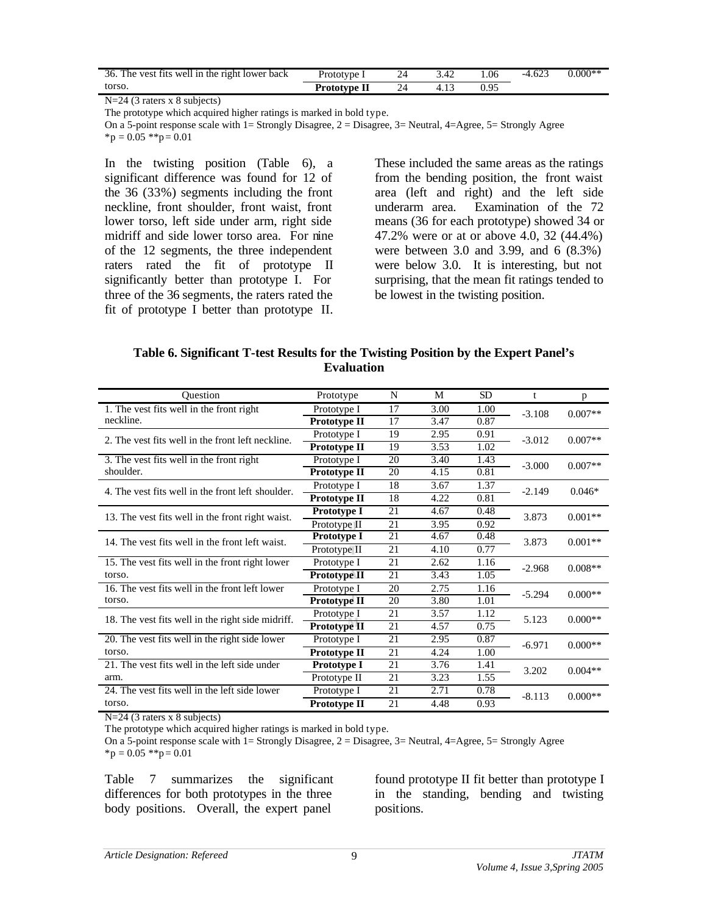| 36. The vest fits well in the right lower back | Prototype I         | 24 | 3.42 | .06 | $-4.623$ | $0.000**$ |
|------------------------------------------------|---------------------|----|------|-----|----------|-----------|
| torso.                                         | <b>Prototype II</b> | 24 |      |     |          |           |

N=24 (3 raters x 8 subjects)

On a 5-point response scale with  $1=$  Strongly Disagree,  $2=$  Disagree,  $3=$  Neutral,  $4=$  Agree,  $5=$  Strongly Agree  ${}^{\ast}p = 0.05$   ${}^{\ast}{}^{\ast}p = 0.01$ 

In the twisting position (Table 6), a significant difference was found for 12 of the 36 (33%) segments including the front neckline, front shoulder, front waist, front lower torso, left side under arm, right side midriff and side lower torso area. For nine of the 12 segments, the three independent raters rated the fit of prototype II significantly better than prototype I. For three of the 36 segments, the raters rated the fit of prototype I better than prototype II.

These included the same areas as the ratings from the bending position, the front waist area (left and right) and the left side underarm area. Examination of the 72 means (36 for each prototype) showed 34 or 47.2% were or at or above 4.0, 32 (44.4%) were between 3.0 and 3.99, and 6 (8.3%) were below 3.0. It is interesting, but not surprising, that the mean fit ratings tended to be lowest in the twisting position.

| Table 6. Significant T-test Results for the Twisting Position by the Expert Panel's |
|-------------------------------------------------------------------------------------|
| <b>Evaluation</b>                                                                   |

| Ouestion                                          | Prototype           | N  | M    | <b>SD</b> | t        | p         |
|---------------------------------------------------|---------------------|----|------|-----------|----------|-----------|
| 1. The vest fits well in the front right          | Prototype I         | 17 | 3.00 | 1.00      | $-3.108$ | $0.007**$ |
| neckline.                                         | <b>Prototype II</b> | 17 | 3.47 | 0.87      |          |           |
| 2. The vest fits well in the front left neckline. | Prototype I         | 19 | 2.95 | 0.91      | $-3.012$ | $0.007**$ |
|                                                   | Prototype II        | 19 | 3.53 | 1.02      |          |           |
| 3. The vest fits well in the front right          | Prototype I         | 20 | 3.40 | 1.43      | $-3.000$ | $0.007**$ |
| shoulder.                                         | Prototype II        | 20 | 4.15 | 0.81      |          |           |
| 4. The vest fits well in the front left shoulder. | Prototype I         | 18 | 3.67 | 1.37      | $-2.149$ | $0.046*$  |
|                                                   | Prototype II        | 18 | 4.22 | 0.81      |          |           |
| 13. The vest fits well in the front right waist.  | Prototype I         | 21 | 4.67 | 0.48      | 3.873    | $0.001**$ |
|                                                   | Prototype II        | 21 | 3.95 | 0.92      |          |           |
| 14. The vest fits well in the front left waist.   | Prototype I         | 21 | 4.67 | 0.48      | 3.873    | $0.001**$ |
|                                                   | Prototype II        | 21 | 4.10 | 0.77      |          |           |
| 15. The vest fits well in the front right lower   | Prototype I         | 21 | 2.62 | 1.16      | $-2.968$ | $0.008**$ |
| torso.                                            | <b>Prototype II</b> | 21 | 3.43 | 1.05      |          |           |
| 16. The vest fits well in the front left lower    | Prototype I         | 20 | 2.75 | 1.16      | $-5.294$ | $0.000**$ |
| torso.                                            | Prototype II        | 20 | 3.80 | 1.01      |          |           |
| 18. The vest fits well in the right side midriff. | Prototype I         | 21 | 3.57 | 1.12      | 5.123    | $0.000**$ |
|                                                   | <b>Prototype II</b> | 21 | 4.57 | 0.75      |          |           |
| 20. The vest fits well in the right side lower    | Prototype I         | 21 | 2.95 | 0.87      | $-6.971$ | $0.000**$ |
| torso.                                            | Prototype II        | 21 | 4.24 | 1.00      |          |           |
| 21. The vest fits well in the left side under     | Prototype I         | 21 | 3.76 | 1.41      | 3.202    | $0.004**$ |
| arm.                                              | Prototype II        | 21 | 3.23 | 1.55      |          |           |
| 24. The vest fits well in the left side lower     | Prototype I         | 21 | 2.71 | 0.78      | $-8.113$ | $0.000**$ |
| torso.                                            | Prototype II        | 21 | 4.48 | 0.93      |          |           |

N=24 (3 raters x 8 subjects)

The prototype which acquired higher ratings is marked in bold type.

On a 5-point response scale with 1= Strongly Disagree,  $2 = Disagree$ ,  $3 = Neutral$ ,  $4 = Agree$ ,  $5 = Strongly$  Agree  ${}^*p = 0.05$   ${}^*p = 0.01$ 

Table 7 summarizes the significant differences for both prototypes in the three body positions. Overall, the expert panel

found prototype II fit better than prototype I in the standing, bending and twisting positions.

The prototype which acquired higher ratings is marked in bold type.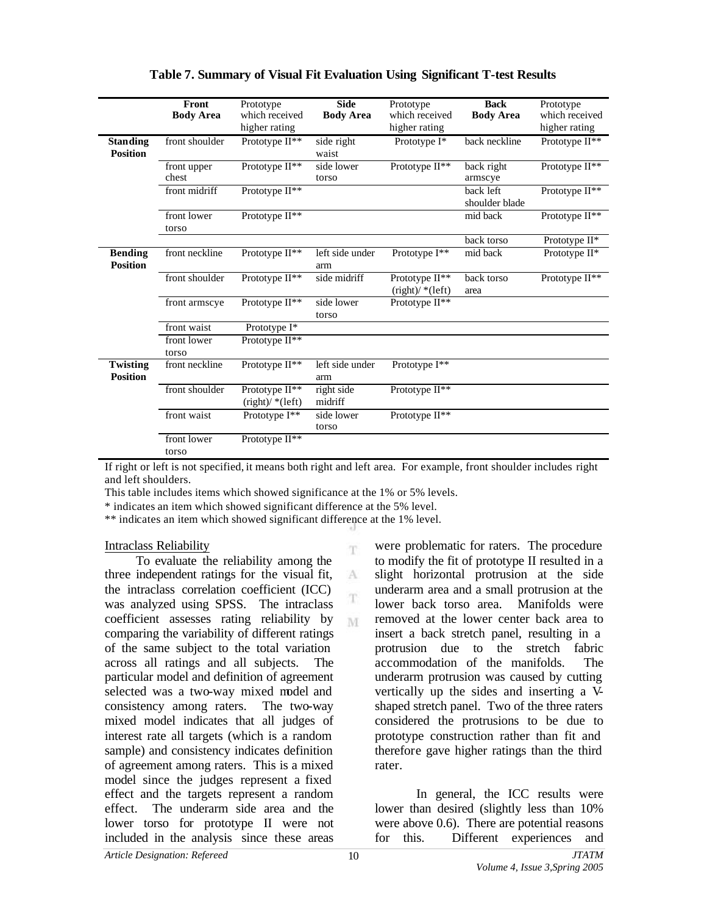|                                    | Front<br><b>Body Area</b> | Prototype<br>which received<br>higher rating             | <b>Side</b><br><b>Body Area</b> | Prototype<br>which received<br>higher rating | <b>Back</b><br><b>Body Area</b> | Prototype<br>which received<br>higher rating |
|------------------------------------|---------------------------|----------------------------------------------------------|---------------------------------|----------------------------------------------|---------------------------------|----------------------------------------------|
| <b>Standing</b><br><b>Position</b> | front shoulder            | Prototype II**                                           | side right<br>waist             | Prototype I*                                 | back neckline                   | Prototype II <sup>**</sup>                   |
|                                    | front upper<br>chest      | Prototype II**                                           | side lower<br>torso             | Prototype II**                               | back right<br>armscye           | Prototype II**                               |
|                                    | front midriff             | Prototype II <sup>**</sup>                               |                                 |                                              | back left<br>shoulder blade     | Prototype II**                               |
|                                    | front lower<br>torso      | Prototype II <sup>**</sup>                               |                                 |                                              | mid back                        | Prototype II**                               |
|                                    |                           |                                                          |                                 |                                              | back torso                      | Prototype II*                                |
| <b>Bending</b><br><b>Position</b>  | front neckline            | Prototype $II^{**}$                                      | left side under<br>arm          | Prototype $I^{**}$                           | mid back                        | Prototype II*                                |
|                                    | front shoulder            | Prototype II**                                           | side midriff                    | Prototype II**<br>$(\text{right})$ / *(left) | back torso<br>area              | Prototype $II**$                             |
|                                    | front armscye             | Prototype $II**$                                         | side lower<br>torso             | Prototype $II^{**}$                          |                                 |                                              |
|                                    | front waist               | Prototype I*                                             |                                 |                                              |                                 |                                              |
|                                    | front lower<br>torso      | Prototype II**                                           |                                 |                                              |                                 |                                              |
| <b>Twisting</b><br><b>Position</b> | front neckline            | Prototype II**                                           | left side under<br>arm          | Prototype I**                                |                                 |                                              |
|                                    | front shoulder            | Prototype II <sup>**</sup><br>$(\text{right})$ / *(left) | right side<br>midriff           | Prototype II <sup>**</sup>                   |                                 |                                              |
|                                    | front waist               | Prototype I**                                            | side lower<br>torso             | Prototype II**                               |                                 |                                              |
|                                    | front lower<br>torso      | Prototype II**                                           |                                 |                                              |                                 |                                              |

## **Table 7. Summary of Visual Fit Evaluation Using Significant T-test Results**

If right or left is not specified, it means both right and left area. For example, front shoulder includes right and left shoulders.

m

A T

M

This table includes items which showed significance at the 1% or 5% levels.

\* indicates an item which showed significant difference at the 5% level.

\*\* indicates an item which showed significant difference at the 1% level.

#### Intraclass Reliability

To evaluate the reliability among the three independent ratings for the visual fit, the intraclass correlation coefficient (ICC) was analyzed using SPSS. The intraclass coefficient assesses rating reliability by comparing the variability of different ratings of the same subject to the total variation across all ratings and all subjects. The particular model and definition of agreement selected was a two-way mixed model and consistency among raters. The two-way mixed model indicates that all judges of interest rate all targets (which is a random sample) and consistency indicates definition of agreement among raters. This is a mixed model since the judges represent a fixed effect and the targets represent a random effect. The underarm side area and the lower torso for prototype II were not included in the analysis since these areas

were problematic for raters. The procedure to modify the fit of prototype II resulted in a slight horizontal protrusion at the side underarm area and a small protrusion at the lower back torso area. Manifolds were removed at the lower center back area to insert a back stretch panel, resulting in a protrusion due to the stretch fabric accommodation of the manifolds. The underarm protrusion was caused by cutting vertically up the sides and inserting a Vshaped stretch panel. Two of the three raters considered the protrusions to be due to prototype construction rather than fit and therefore gave higher ratings than the third rater.

In general, the ICC results were lower than desired (slightly less than 10% were above 0.6). There are potential reasons for this. Different experiences and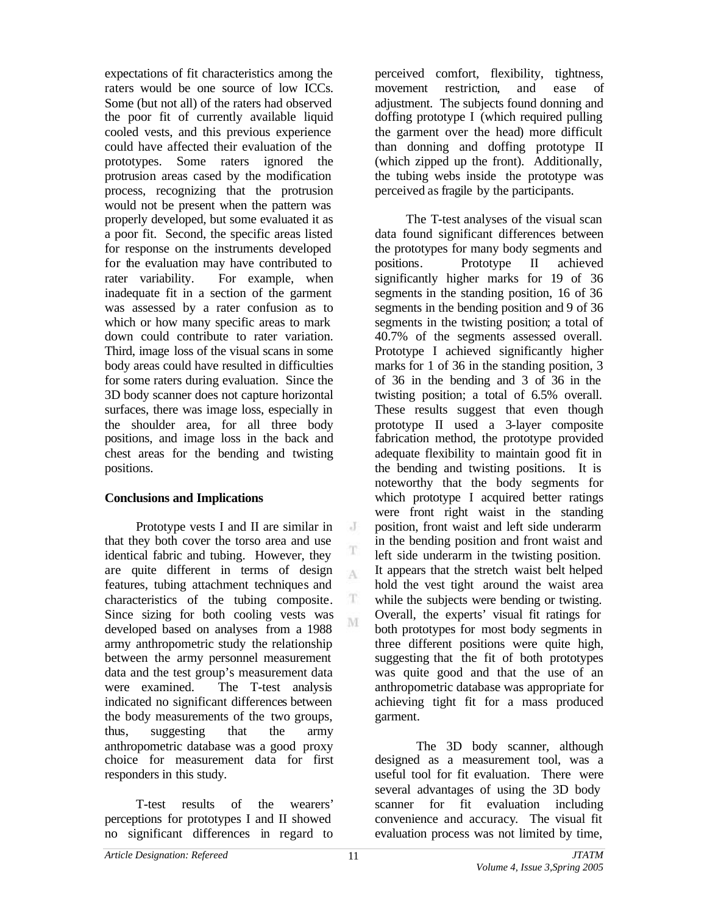expectations of fit characteristics among the raters would be one source of low ICCs. Some (but not all) of the raters had observed the poor fit of currently available liquid cooled vests, and this previous experience could have affected their evaluation of the prototypes. Some raters ignored the protrusion areas cased by the modification process, recognizing that the protrusion would not be present when the pattern was properly developed, but some evaluated it as a poor fit. Second, the specific areas listed for response on the instruments developed for the evaluation may have contributed to rater variability. For example, when inadequate fit in a section of the garment was assessed by a rater confusion as to which or how many specific areas to mark down could contribute to rater variation. Third, image loss of the visual scans in some body areas could have resulted in difficulties for some raters during evaluation. Since the 3D body scanner does not capture horizontal surfaces, there was image loss, especially in the shoulder area, for all three body positions, and image loss in the back and chest areas for the bending and twisting positions.

## **Conclusions and Implications**

Prototype vests I and II are similar in that they both cover the torso area and use identical fabric and tubing. However, they are quite different in terms of design features, tubing attachment techniques and characteristics of the tubing composite. Since sizing for both cooling vests was developed based on analyses from a 1988 army anthropometric study the relationship between the army personnel measurement data and the test group's measurement data were examined. The T-test analysis indicated no significant differences between the body measurements of the two groups, thus, suggesting that the army anthropometric database was a good proxy choice for measurement data for first responders in this study.

T-test results of the wearers' perceptions for prototypes I and II showed no significant differences in regard to perceived comfort, flexibility, tightness, movement restriction, and ease of adjustment. The subjects found donning and doffing prototype I (which required pulling the garment over the head) more difficult than donning and doffing prototype II (which zipped up the front). Additionally, the tubing webs inside the prototype was perceived as fragile by the participants.

The T-test analyses of the visual scan data found significant differences between the prototypes for many body segments and positions. Prototype II achieved significantly higher marks for 19 of 36 segments in the standing position, 16 of 36 segments in the bending position and 9 of 36 segments in the twisting position; a total of 40.7% of the segments assessed overall. Prototype I achieved significantly higher marks for 1 of 36 in the standing position, 3 of 36 in the bending and 3 of 36 in the twisting position; a total of 6.5% overall. These results suggest that even though prototype II used a 3-layer composite fabrication method, the prototype provided adequate flexibility to maintain good fit in the bending and twisting positions. It is noteworthy that the body segments for which prototype I acquired better ratings were front right waist in the standing position, front waist and left side underarm in the bending position and front waist and left side underarm in the twisting position. It appears that the stretch waist belt helped hold the vest tight around the waist area while the subjects were bending or twisting. Overall, the experts' visual fit ratings for both prototypes for most body segments in three different positions were quite high, suggesting that the fit of both prototypes was quite good and that the use of an anthropometric database was appropriate for achieving tight fit for a mass produced garment.

The 3D body scanner, although designed as a measurement tool, was a useful tool for fit evaluation. There were several advantages of using the 3D body scanner for fit evaluation including convenience and accuracy. The visual fit evaluation process was not limited by time,

 $J$ 

T

A

T M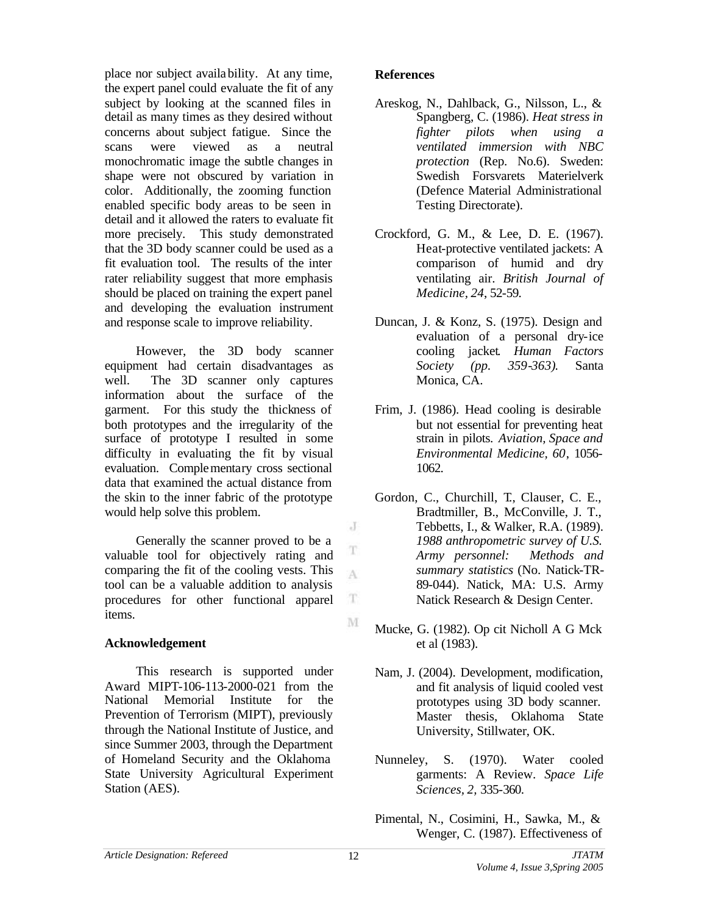place nor subject availability. At any time, the expert panel could evaluate the fit of any subject by looking at the scanned files in detail as many times as they desired without concerns about subject fatigue. Since the scans were viewed as a neutral monochromatic image the subtle changes in shape were not obscured by variation in color. Additionally, the zooming function enabled specific body areas to be seen in detail and it allowed the raters to evaluate fit more precisely. This study demonstrated that the 3D body scanner could be used as a fit evaluation tool. The results of the inter rater reliability suggest that more emphasis should be placed on training the expert panel and developing the evaluation instrument and response scale to improve reliability.

However, the 3D body scanner equipment had certain disadvantages as well. The 3D scanner only captures information about the surface of the garment. For this study the thickness of both prototypes and the irregularity of the surface of prototype I resulted in some difficulty in evaluating the fit by visual evaluation. Complementary cross sectional data that examined the actual distance from the skin to the inner fabric of the prototype would help solve this problem.

Generally the scanner proved to be a valuable tool for objectively rating and comparing the fit of the cooling vests. This tool can be a valuable addition to analysis procedures for other functional apparel items.

## **Acknowledgement**

This research is supported under Award MIPT-106-113-2000-021 from the National Memorial Institute for the Prevention of Terrorism (MIPT), previously through the National Institute of Justice, and since Summer 2003, through the Department of Homeland Security and the Oklahoma State University Agricultural Experiment Station (AES).

#### **References**

- Areskog, N., Dahlback, G., Nilsson, L., & Spangberg, C. (1986). *Heat stress in fighter pilots when using a ventilated immersion with NBC protection* (Rep. No.6). Sweden: Swedish Forsvarets Materielverk (Defence Material Administrational Testing Directorate).
- Crockford, G. M., & Lee, D. E. (1967). Heat-protective ventilated jackets: A comparison of humid and dry ventilating air. *British Journal of Medicine, 24*, 52-59.
- Duncan, J. & Konz, S. (1975). Design and evaluation of a personal dry-ice cooling jacket*. Human Factors Society (pp. 359-363)*. Santa Monica, CA.
- Frim, J. (1986). Head cooling is desirable but not essential for preventing heat strain in pilots. *Aviation, Space and Environmental Medicine, 60*, 1056- 1062.
- Gordon, C., Churchill, T., Clauser, C. E., Bradtmiller, B., McConville, J. T., Tebbetts, I., & Walker, R.A. (1989). *1988 anthropometric survey of U.S. Army personnel: Methods and summary statistics* (No. Natick-TR-89-044). Natick, MA: U.S. Army Natick Research & Design Center.
- Mucke, G. (1982). Op cit Nicholl A G Mck et al (1983).
- Nam, J. (2004). Development, modification, and fit analysis of liquid cooled vest prototypes using 3D body scanner. Master thesis, Oklahoma State University, Stillwater, OK.
- Nunneley, S. (1970). Water cooled garments: A Review. *Space Life Sciences, 2,* 335-360.
- Pimental, N., Cosimini, H., Sawka, M., & Wenger, C. (1987). Effectiveness of

 $J$ 

T

A

 $\mathcal{T}$ 

M